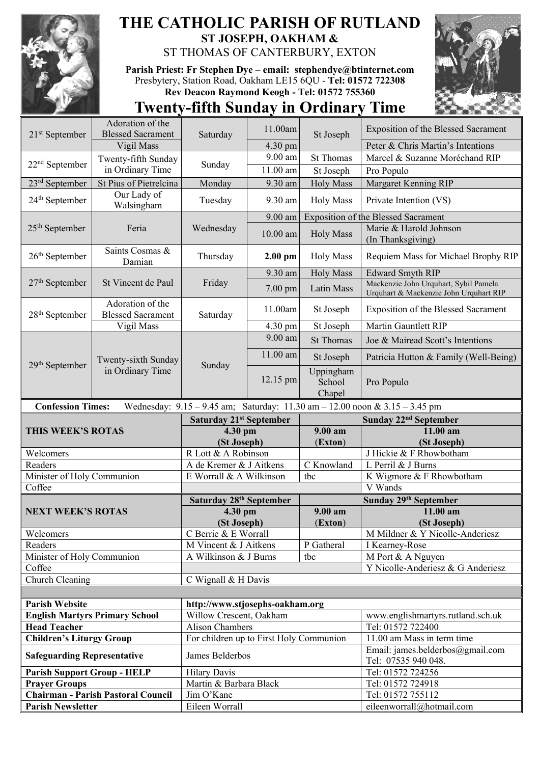

## **THE CATHOLIC PARISH OF RUTLAND ST JOSEPH, OAKHAM &**  ST THOMAS OF CANTERBURY, EXTON

**Parish Priest: Fr Stephen Dye** – **[email: stephendye@btinternet.com](mailto:email:%20%20stephendye@btinternet.com)** Presbytery, Station Road, Oakham LE15 6QU - **Tel: 01572 722308 Rev Deacon Raymond Keogh - Tel: 01572 755360**



## **Twenty-fifth Sunday in Ordinary Time**

| $21st$ September                                                                                                | Adoration of the                             | Saturday                                                   | 11.00am            | St Joseph                     | <b>Exposition of the Blessed Sacrament</b>                                      |  |
|-----------------------------------------------------------------------------------------------------------------|----------------------------------------------|------------------------------------------------------------|--------------------|-------------------------------|---------------------------------------------------------------------------------|--|
|                                                                                                                 | <b>Blessed Sacrament</b>                     |                                                            |                    |                               |                                                                                 |  |
|                                                                                                                 | Vigil Mass                                   |                                                            | 4.30 pm<br>9.00 am |                               | Peter & Chris Martin's Intentions                                               |  |
| $22nd$ September                                                                                                | Twenty-fifth Sunday                          | Sunday                                                     |                    | <b>St Thomas</b>              | Marcel & Suzanne Moréchand RIP                                                  |  |
|                                                                                                                 | in Ordinary Time                             |                                                            | 11.00 am           | St Joseph                     | Pro Populo                                                                      |  |
| 23 <sup>rd</sup> September                                                                                      | St Pius of Pietrelcina<br>Our Lady of        | Monday                                                     | 9.30 am            | <b>Holy Mass</b>              | Margaret Kenning RIP                                                            |  |
| 24 <sup>th</sup> September                                                                                      | Walsingham                                   | Tuesday                                                    | 9.30 am            | <b>Holy Mass</b>              | Private Intention (VS)                                                          |  |
| $25th$ September                                                                                                | Feria                                        | Wednesday                                                  | 9.00 am            |                               | <b>Exposition of the Blessed Sacrament</b>                                      |  |
|                                                                                                                 |                                              |                                                            | $10.00$ am         | <b>Holy Mass</b>              | Marie & Harold Johnson<br>(In Thanksgiving)                                     |  |
| $26th$ September                                                                                                | Saints Cosmas &<br>Damian                    | Thursday                                                   | $2.00$ pm          | <b>Holy Mass</b>              | Requiem Mass for Michael Brophy RIP                                             |  |
| $27th$ September                                                                                                | St Vincent de Paul                           | Friday                                                     | 9.30 am            | <b>Holy Mass</b>              | <b>Edward Smyth RIP</b>                                                         |  |
|                                                                                                                 |                                              |                                                            | $7.00 \text{ pm}$  | Latin Mass                    | Mackenzie John Urquhart, Sybil Pamela<br>Urquhart & Mackenzie John Urquhart RIP |  |
| 28 <sup>th</sup> September                                                                                      | Adoration of the<br><b>Blessed Sacrament</b> | Saturday                                                   | 11.00am            | St Joseph                     | Exposition of the Blessed Sacrament                                             |  |
|                                                                                                                 | Vigil Mass                                   |                                                            | 4.30 pm            | St Joseph                     | Martin Gauntlett RIP                                                            |  |
| 29 <sup>th</sup> September                                                                                      | Twenty-sixth Sunday<br>in Ordinary Time      | Sunday                                                     | 9.00 am            | <b>St Thomas</b>              | Joe & Mairead Scott's Intentions                                                |  |
|                                                                                                                 |                                              |                                                            | 11.00 am           | St Joseph                     | Patricia Hutton & Family (Well-Being)                                           |  |
|                                                                                                                 |                                              |                                                            | 12.15 pm           | Uppingham<br>School<br>Chapel | Pro Populo                                                                      |  |
| Wednesday: $9.15 - 9.45$ am; Saturday: $11.30$ am $- 12.00$ noon & $3.15 - 3.45$ pm<br><b>Confession Times:</b> |                                              |                                                            |                    |                               |                                                                                 |  |
|                                                                                                                 |                                              |                                                            |                    |                               |                                                                                 |  |
|                                                                                                                 |                                              |                                                            |                    |                               |                                                                                 |  |
|                                                                                                                 |                                              | <b>Saturday 21st September</b>                             |                    |                               | Sunday 22 <sup>nd</sup> September                                               |  |
| THIS WEEK'S ROTAS                                                                                               |                                              | 4.30 pm<br>(St Joseph)                                     |                    | 9.00 am<br>(Exton)            | 11.00 am<br>(St Joseph)                                                         |  |
| Welcomers                                                                                                       |                                              | R Lott & A Robinson                                        |                    |                               | J Hickie & F Rhowbotham                                                         |  |
| Readers                                                                                                         |                                              | A de Kremer & J Aitkens                                    |                    | C Knowland                    | L Perril & J Burns                                                              |  |
| Minister of Holy Communion                                                                                      |                                              | E Worrall & A Wilkinson                                    |                    | tbc                           | K Wigmore & F Rhowbotham                                                        |  |
| Coffee                                                                                                          |                                              |                                                            |                    |                               | V Wands                                                                         |  |
|                                                                                                                 |                                              | Saturday 28th September                                    |                    |                               | Sunday 29th September                                                           |  |
| <b>NEXT WEEK'S ROTAS</b>                                                                                        |                                              | 4.30 pm                                                    |                    | 9.00 am                       | 11.00 am                                                                        |  |
|                                                                                                                 |                                              | (St Joseph)                                                |                    | (Exton)                       | (St Joseph)                                                                     |  |
| Welcomers                                                                                                       |                                              | C Berrie & E Worrall                                       |                    |                               | M Mildner & Y Nicolle-Anderiesz                                                 |  |
| Readers                                                                                                         |                                              | M Vincent & J Aitkens                                      |                    | P Gatheral                    | I Kearney-Rose                                                                  |  |
| Minister of Holy Communion                                                                                      |                                              | A Wilkinson & J Burns                                      |                    | tbc                           | M Port & A Nguyen                                                               |  |
| Coffee                                                                                                          |                                              |                                                            |                    |                               | Y Nicolle-Anderiesz & G Anderiesz                                               |  |
| Church Cleaning                                                                                                 |                                              | C Wignall & H Davis                                        |                    |                               |                                                                                 |  |
|                                                                                                                 |                                              |                                                            |                    |                               |                                                                                 |  |
| <b>Parish Website</b>                                                                                           |                                              | http://www.stjosephs-oakham.org                            |                    |                               |                                                                                 |  |
|                                                                                                                 | <b>English Martyrs Primary School</b>        | Willow Crescent, Oakham                                    |                    |                               | www.englishmartyrs.rutland.sch.uk                                               |  |
| <b>Head Teacher</b>                                                                                             |                                              | <b>Alison Chambers</b>                                     |                    |                               | Tel: 01572 722400                                                               |  |
| <b>Children's Liturgy Group</b><br><b>Safeguarding Representative</b>                                           |                                              | For children up to First Holy Communion<br>James Belderbos |                    |                               | 11.00 am Mass in term time<br>Email: james.belderbos@gmail.com                  |  |
|                                                                                                                 |                                              |                                                            |                    |                               | Tel: 07535 940 048.                                                             |  |
| <b>Parish Support Group - HELP</b>                                                                              |                                              | <b>Hilary Davis</b>                                        |                    |                               | Tel: 01572 724256                                                               |  |
| <b>Prayer Groups</b>                                                                                            | <b>Chairman - Parish Pastoral Council</b>    | Martin & Barbara Black<br>Jim O'Kane                       |                    |                               | Tel: 01572 724918<br>Tel: 01572 755112                                          |  |